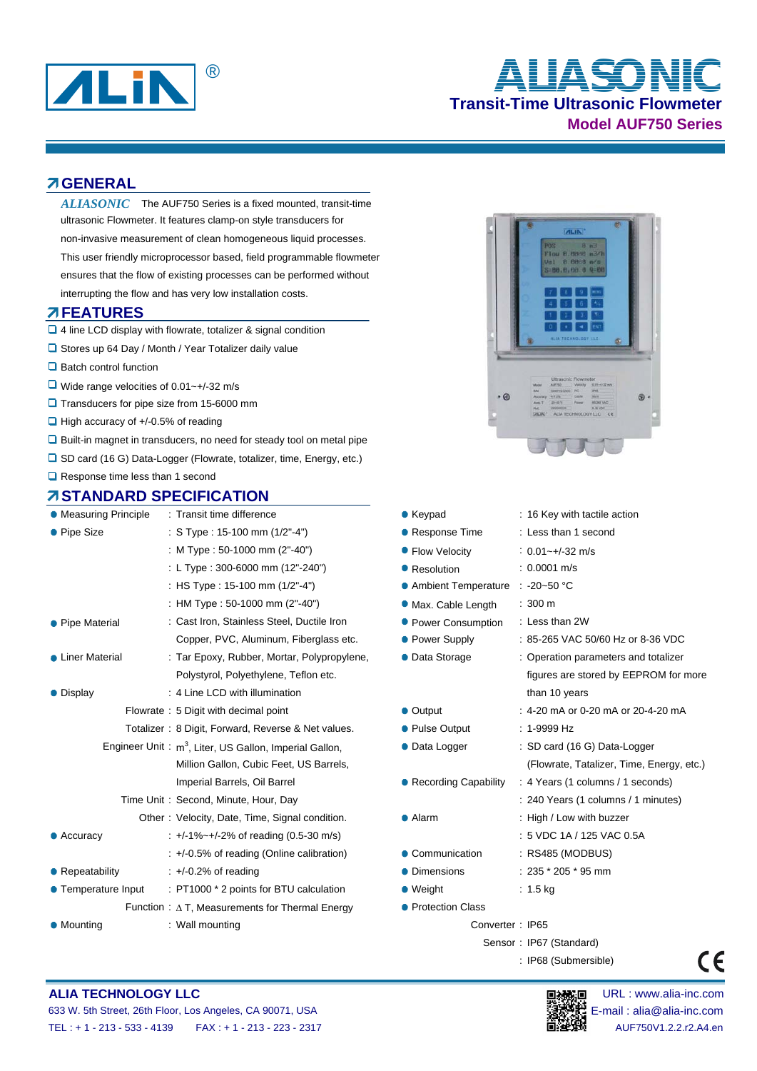

# **Transit-Time Ultrasonic Flowmeter Model AUF750 Series** ® **ALIASONIC**

### **GENERAL**

ALIASONIC The AUF750 Series is a fixed mounted, transit-time ultrasonic Flowmeter. It features clamp-on style transducers for non-invasive measurement of clean homogeneous liquid processes. This user friendly microprocessor based, field programmable flowmeter ensures that the flow of existing processes can be performed without interrupting the flow and has very low installation costs.

### **FEATURES**

- 4 line LCD display with flowrate, totalizer & signal condition
- □ Stores up 64 Day / Month / Year Totalizer daily value
- $\Box$  Batch control function
- $\Box$  Wide range velocities of 0.01~+/-32 m/s
- **Q** Transducers for pipe size from 15-6000 mm
- $\Box$  High accuracy of  $+/-0.5%$  of reading
- $\Box$  Built-in magnet in transducers, no need for steady tool on metal pipe
- □ SD card (16 G) Data-Logger (Flowrate, totalizer, time, Energy, etc.)
- **□** Response time less than 1 second

### **STANDARD SPECIFICATION**

| • Measuring Principle                                     | : Transit time difference                              | $\bullet$ Keypad<br>: 16 Key with tactile action |                                      |  |  |  |
|-----------------------------------------------------------|--------------------------------------------------------|--------------------------------------------------|--------------------------------------|--|--|--|
| • Pipe Size                                               | : S Type : 15-100 mm $(1/2" - 4")$                     | • Response Time                                  | : Less than 1 second                 |  |  |  |
|                                                           | : M Type : 50-1000 mm (2"-40")                         | • Flow Velocity                                  | $: 0.01 - +1.32$ m/s                 |  |  |  |
|                                                           | : L Type: 300-6000 mm (12"-240")                       | • Resolution                                     | $: 0.0001$ m/s                       |  |  |  |
|                                                           | : HS Type : 15-100 mm (1/2"-4")                        | • Ambient Temperature                            | $\therefore$ -20~50 °C               |  |  |  |
|                                                           | : HM Type : 50-1000 mm (2"-40")                        | • Max. Cable Length                              | $: 300 \, \text{m}$                  |  |  |  |
| • Pipe Material                                           | : Cast Iron, Stainless Steel, Ductile Iron             | • Power Consumption                              | : Less than 2W                       |  |  |  |
|                                                           | Copper, PVC, Aluminum, Fiberglass etc.                 | • Power Supply                                   | : 85-265 VAC 50/60 Hz or 8-36 VDC    |  |  |  |
| • Liner Material                                          | : Tar Epoxy, Rubber, Mortar, Polypropylene,            | • Data Storage                                   | : Operation parameters and totalizer |  |  |  |
|                                                           | Polystyrol, Polyethylene, Teflon etc.                  |                                                  | figures are stored by EEPROM for     |  |  |  |
| • Display                                                 | : 4 Line LCD with illumination                         |                                                  | than 10 years                        |  |  |  |
|                                                           | Flowrate: 5 Digit with decimal point                   | • Output                                         | : 4-20 mA or 0-20 mA or 20-4-20 mA   |  |  |  |
|                                                           | Totalizer: 8 Digit, Forward, Reverse & Net values.     | • Pulse Output                                   | $: 1-9999 Hz$                        |  |  |  |
| Engineer Unit: $m^3$ , Liter, US Gallon, Imperial Gallon, |                                                        | • Data Logger                                    | : SD card (16 G) Data-Logger         |  |  |  |
|                                                           | Million Gallon, Cubic Feet, US Barrels,                |                                                  | (Flowrate, Tatalizer, Time, Energy,  |  |  |  |
|                                                           | Imperial Barrels, Oil Barrel                           | ● Recording Capability                           | : 4 Years (1 columns / 1 seconds)    |  |  |  |
|                                                           | Time Unit: Second, Minute, Hour, Day                   |                                                  | : 240 Years (1 columns / 1 minutes)  |  |  |  |
|                                                           | Other: Velocity, Date, Time, Signal condition.         | • Alarm                                          | : High / Low with buzzer             |  |  |  |
| $\bullet$ Accuracy                                        | $\pm$ +/-1%~+/-2% of reading (0.5-30 m/s)              |                                                  | : 5 VDC 1A / 125 VAC 0.5A            |  |  |  |
|                                                           | $\div$ +/-0.5% of reading (Online calibration)         | • Communication                                  | : RS485 (MODBUS)                     |  |  |  |
| • Repeatability                                           | $\div$ +/-0.2% of reading                              | • Dimensions                                     | $: 235 * 205 * 95$ mm                |  |  |  |
| • Temperature Input                                       | : PT1000 * 2 points for BTU calculation                | $\bullet$ Weight                                 | $: 1.5$ kg                           |  |  |  |
|                                                           | Function : $\Delta$ T, Measurements for Thermal Energy | ● Protection Class                               |                                      |  |  |  |
| • Mounting                                                | : Wall mounting<br>Converter: IP65                     |                                                  |                                      |  |  |  |



|         | IRD SPECIFICATION                                               |                          |                                           |
|---------|-----------------------------------------------------------------|--------------------------|-------------------------------------------|
| inciple | : Transit time difference                                       | $\bullet$ Keypad         | : 16 Key with tactile action              |
|         | : S Type : 15-100 mm (1/2"-4")                                  | • Response Time          | : Less than 1 second                      |
|         | : M Type : 50-1000 mm (2"-40")                                  | • Flow Velocity          | $: 0.01 - +1.32$ m/s                      |
|         | : L Type: 300-6000 mm (12"-240")                                | • Resolution             | $: 0.0001$ m/s                            |
|         | : HS Type : 15-100 mm (1/2"-4")                                 | • Ambient Temperature    | $\therefore$ -20~50 °C                    |
|         | : HM Type : 50-1000 mm (2"-40")                                 | <b>Max. Cable Length</b> | $: 300 \text{ m}$                         |
|         | : Cast Iron, Stainless Steel, Ductile Iron                      | • Power Consumption      | : Less than 2W                            |
|         | Copper, PVC, Aluminum, Fiberglass etc.                          | • Power Supply           | : 85-265 VAC 50/60 Hz or 8-36 VDC         |
|         | : Tar Epoxy, Rubber, Mortar, Polypropylene,                     | • Data Storage           | : Operation parameters and totalizer      |
|         | Polystyrol, Polyethylene, Teflon etc.                           |                          | figures are stored by EEPROM for more     |
|         | : 4 Line LCD with illumination                                  |                          | than 10 years                             |
|         | Flowrate: 5 Digit with decimal point                            | • Output                 | : 4-20 mA or 0-20 mA or 20-4-20 mA        |
|         | Totalizer: 8 Digit, Forward, Reverse & Net values.              | • Pulse Output           | $: 1-9999 Hz$                             |
|         | ineer Unit: m <sup>3</sup> , Liter, US Gallon, Imperial Gallon, | • Data Logger            | : SD card (16 G) Data-Logger              |
|         | Million Gallon, Cubic Feet, US Barrels,                         |                          | (Flowrate, Tatalizer, Time, Energy, etc.) |
|         | Imperial Barrels, Oil Barrel                                    | ● Recording Capability   | : 4 Years (1 columns / 1 seconds)         |
|         | Time Unit: Second, Minute, Hour, Day                            |                          | : 240 Years (1 columns / 1 minutes)       |
|         | Other: Velocity, Date, Time, Signal condition.                  | • Alarm                  | : High / Low with buzzer                  |
|         | $\pm$ +/-1%~+/-2% of reading (0.5-30 m/s)                       |                          | : 5 VDC 1A / 125 VAC 0.5A                 |
|         | : +/-0.5% of reading (Online calibration)                       | • Communication          | : RS485 (MODBUS)                          |
|         | $\div$ +/-0.2% of reading                                       | • Dimensions             | $: 235 * 205 * 95$ mm                     |
| Input   | : PT1000 * 2 points for BTU calculation                         | $\bullet$ Weight         | : $1.5 \text{ kg}$                        |
|         | Function : $\Delta$ T, Measurements for Thermal Energy          | • Protection Class       |                                           |
|         |                                                                 |                          |                                           |

Sensor : IP67 (Standard)

: IP68 (Submersible)

# **ALIA TECHNOLOGY LLC DEVICED AND RESERVE THE URL IN SECTION OF THE URL : www.alia-inc.com**



 $\epsilon$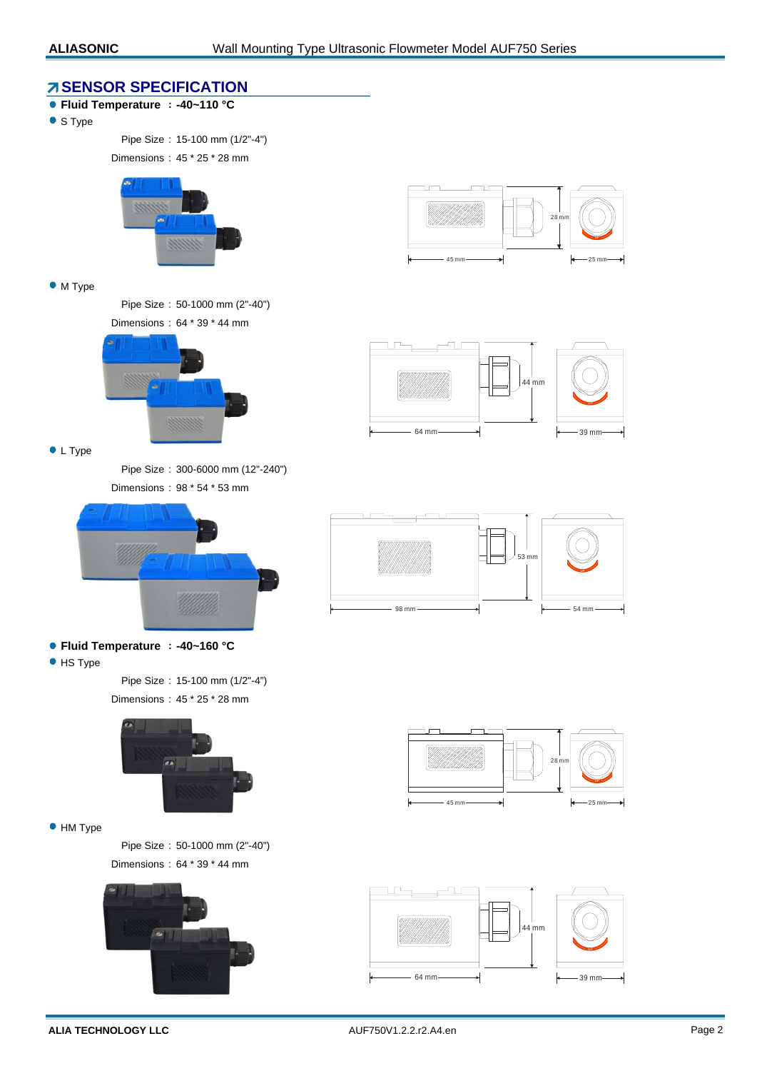### **SENSOR SPECIFICATION**

- **Fluid Temperature : -40~110 °C**
- S Type

Pipe Size : 15-100 mm (1/2"-4")

Dimensions : 45 \* 25 \* 28 mm



#### • M Type

Pipe Size : 50-1000 mm (2"-40") Dimensions : 64 \* 39 \* 44 mm



**C** L Type

Pipe Size : 300-6000 mm (12"-240") Dimensions : 98 \* 54 \* 53 mm



**Fluid Temperature : -40~160 °C**

**•** HS Type

Pipe Size : 15-100 mm (1/2"-4") Dimensions : 45 \* 25 \* 28 mm



 $\bullet$  HM Type

Pipe Size : 50-1000 mm (2"-40") Dimensions : 64 \* 39 \* 44 mm











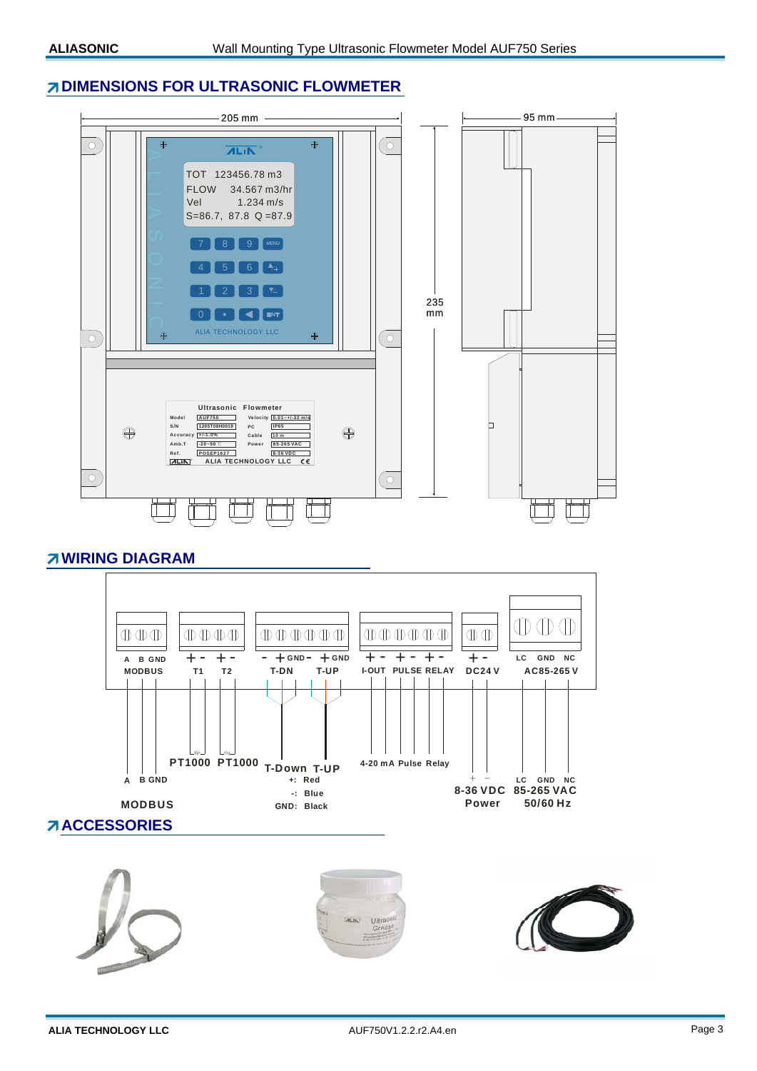### **DIMENSIONS FOR ULTRASONIC FLOWMETER**